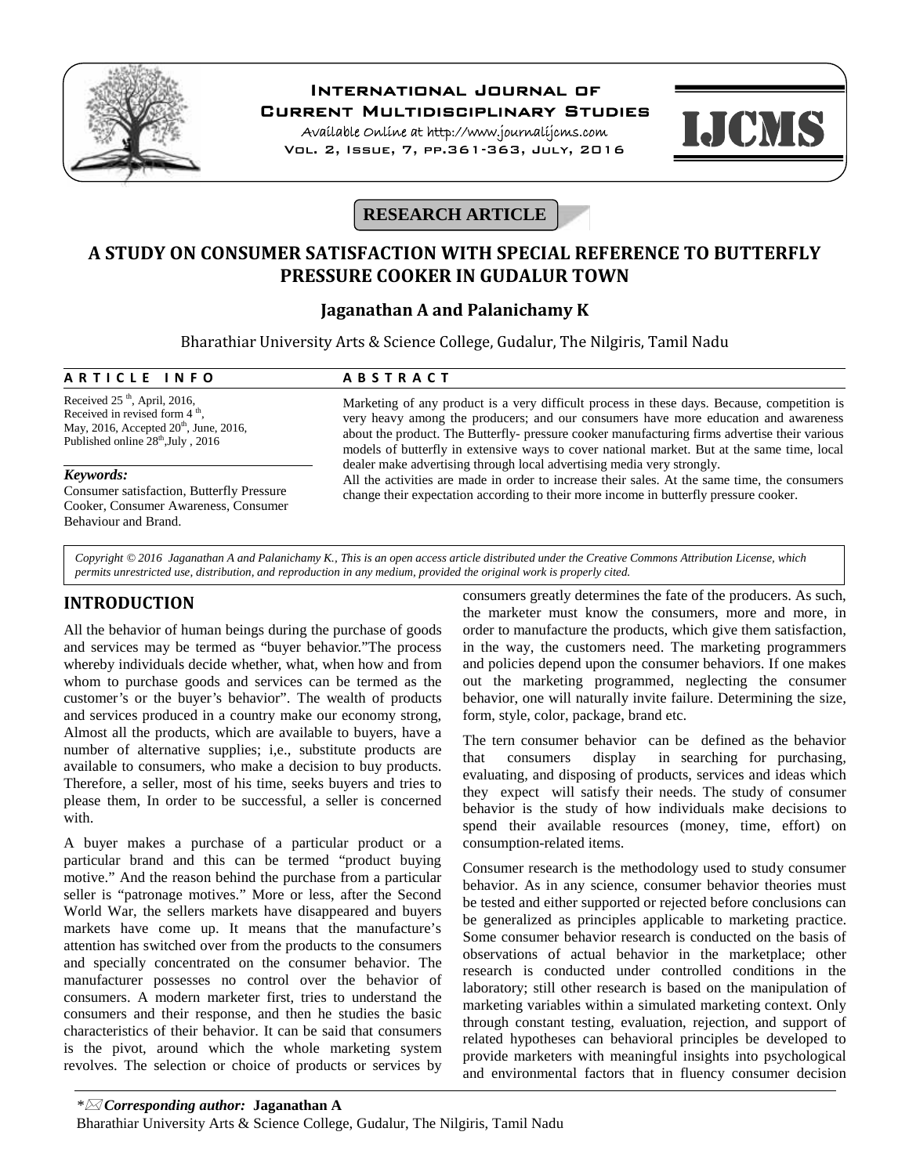

# **International Journal of**

**Current Multidisciplinary Studies**

**Available Online at http://www.journalijcms.com** Vol. 2, Issue, 7, pp.361-363, July, 2016



# **RESEARCH ARTICLE**

# **A STUDY ON CONSUMER SATISFACTION WITH SPECIAL REFERENCE TO BUTTERFLY PRESSURE COOKER IN GUDALUR TOWN**

# **Jaganathan A and Palanichamy K**

Bharathiar University Arts & Science College, Gudalur, The Nilgiris, Tamil Nadu **A R T I C L E I N F O**<br> **A B S T R A C T**<br> **A R T I C L E I N F O**<br> **A B S T R A C T**<br> **A B S T R A C T**<br> **A B S T R A C T**<br>
Marketing of any product is a very diffi-

Received 25<sup>th</sup>, April, 2016, Received in revised form  $4<sup>th</sup>$ , , May, 2016, Accepted  $20<sup>th</sup>$ , June, 2016, Published online  $28<sup>th</sup>$ , July, 2016

#### *Keywords:*

Consumer satisfaction, Butterfly Pressure Cooker, Consumer Awareness, Consumer Behaviour and Brand.

Marketing of any product is a very difficult process in these days. Because, competition is very heavy among the producers; and our consumers have more education and awareness about the product. The Butterfly- pressure cooker manufacturing firms advertise their various models of butterfly in extensive ways to cover national market. But at the same time, local dealer make advertising through local advertising media very strongly.

All the activities are made in order to increase their sales. At the same time, the consumers change their expectation according to their more income in butterfly pressure cooker.

*Copyright © 2016 Jaganathan A and Palanichamy K., This is an open access article distributed under the Creative Commons Attribution License, which permits unrestricted use, distribution, and reproduction in any medium, provided the original work is properly cited.*

# **INTRODUCTION**

All the behavior of human beings during the purchase of goods and services may be termed as "buyer behavior."The process whereby individuals decide whether, what, when how and from whom to purchase goods and services can be termed as the customer's or the buyer's behavior". The wealth of products and services produced in a country make our economy strong, Almost all the products, which are available to buyers, have a number of alternative supplies; i,e., substitute products are  $\frac{1}{1}$ available to consumers, who make a decision to buy products. Therefore, a seller, most of his time, seeks buyers and tries to please them, In order to be successful, a seller is concerned with.

A buyer makes a purchase of a particular product or a particular brand and this can be termed "product buying motive." And the reason behind the purchase from a particular seller is "patronage motives." More or less, after the Second World War, the sellers markets have disappeared and buyers markets have come up. It means that the manufacture's attention has switched over from the products to the consumers and specially concentrated on the consumer behavior. The manufacturer possesses no control over the behavior of consumers. A modern marketer first, tries to understand the consumers and their response, and then he studies the basic characteristics of their behavior. It can be said that consumers is the pivot, around which the whole marketing system revolves. The selection or choice of products or services by

consumers greatly determines the fate of the producers. As such, the marketer must know the consumers, more and more, in order to manufacture the products, which give them satisfaction, in the way, the customers need. The marketing programmers and policies depend upon the consumer behaviors. If one makes out the marketing programmed, neglecting the consumer behavior, one will naturally invite failure. Determining the size, form, style, color, package, brand etc.

The tern consumer behavior can be defined as the behavior<br>that consumers display in searching for purchasing, consumers display in searching for purchasing, evaluating, and disposing of products, services and ideas which they expect will satisfy their needs. The study of consumer behavior is the study of how individuals make decisions to spend their available resources (money, time, effort) on consumption-related items.

Consumer research is the methodology used to study consumer behavior. As in any science, consumer behavior theories must be tested and either supported or rejected before conclusions can be generalized as principles applicable to marketing practice. Some consumer behavior research is conducted on the basis of observations of actual behavior in the marketplace; other research is conducted under controlled conditions in the laboratory; still other research is based on the manipulation of marketing variables within a simulated marketing context. Only through constant testing, evaluation, rejection, and support of related hypotheses can behavioral principles be developed to provide marketers with meaningful insights into psychological and environmental factors that in fluency consumer decision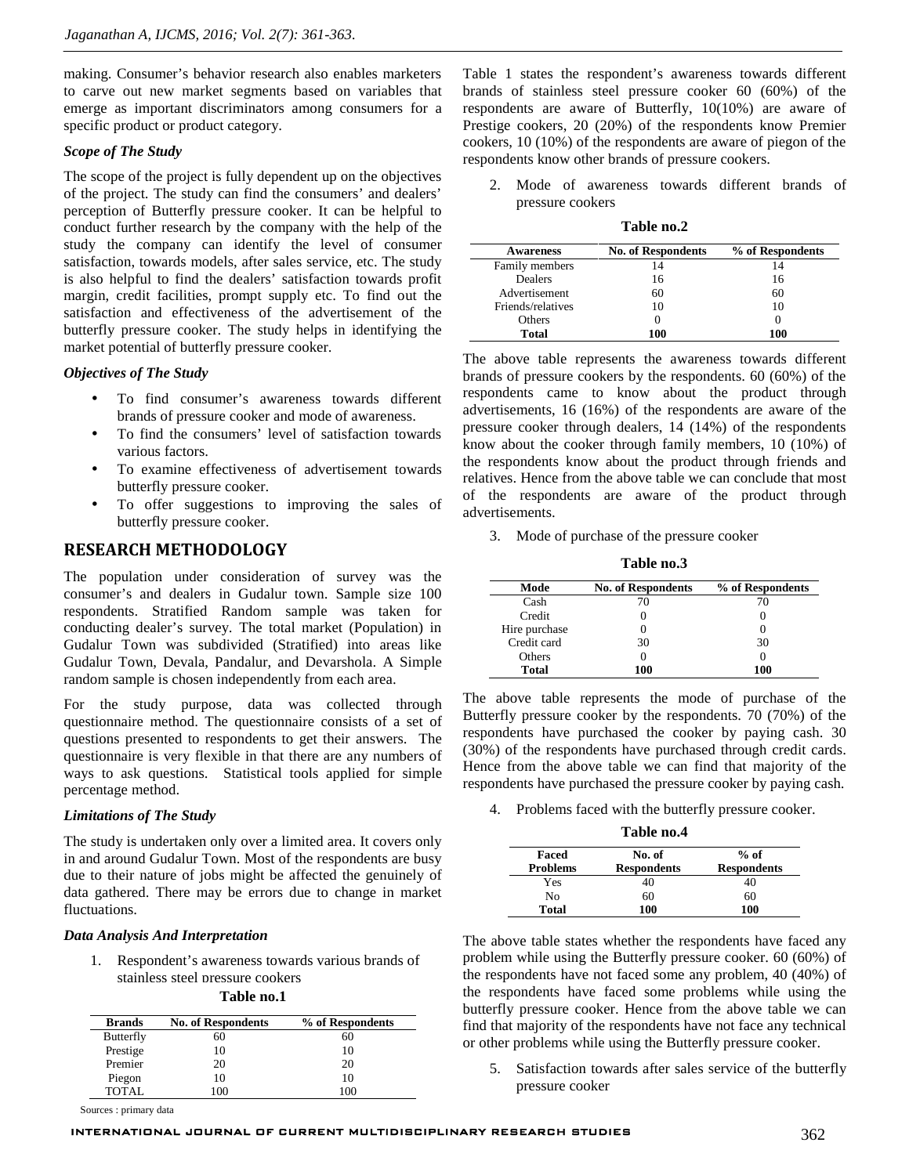making. Consumer's behavior research also enables marketers to carve out new market segments based on variables that emerge as important discriminators among consumers for a specific product or product category.

#### *Scope of The Study*

The scope of the project is fully dependent up on the objectives of the project. The study can find the consumers' and dealers' perception of Butterfly pressure cooker. It can be helpful to conduct further research by the company with the help of the study the company can identify the level of consumer satisfaction, towards models, after sales service, etc. The study is also helpful to find the dealers' satisfaction towards profit margin, credit facilities, prompt supply etc. To find out the satisfaction and effectiveness of the advertisement of the butterfly pressure cooker. The study helps in identifying the market potential of butterfly pressure cooker.

#### *Objectives of The Study*

- To find consumer's awareness towards different brands of pressure cooker and mode of awareness.
- To find the consumers' level of satisfaction towards various factors.
- To examine effectiveness of advertisement towards butterfly pressure cooker.
- To offer suggestions to improving the sales of butterfly pressure cooker.

## **RESEARCH METHODOLOGY**

The population under consideration of survey was the consumer's and dealers in Gudalur town. Sample size 100 respondents. Stratified Random sample was taken for conducting dealer's survey. The total market (Population) in Gudalur Town was subdivided (Stratified) into areas like Gudalur Town, Devala, Pandalur, and Devarshola. A Simple random sample is chosen independently from each area.

For the study purpose, data was collected through questionnaire method. The questionnaire consists of a set of questions presented to respondents to get their answers. The questionnaire is very flexible in that there are any numbers of ways to ask questions. Statistical tools applied for simple percentage method.

### *Limitations of The Study*

The study is undertaken only over a limited area. It covers only in and around Gudalur Town. Most of the respondents are busy due to their nature of jobs might be affected the genuinely of data gathered. There may be errors due to change in market fluctuations.

#### *Data Analysis And Interpretation*

1. Respondent's awareness towards various brands of stainless steel pressure cookers

**Table no.1**

| <b>Brands</b>    | <b>No. of Respondents</b> | % of Respondents |
|------------------|---------------------------|------------------|
| <b>Butterfly</b> | 60                        | 60               |
| Prestige         | 10                        | 10               |
| Premier          | 20                        | 20               |
| Piegon           | 10                        | 10               |
| TOTAL.           | 100                       | 100              |

Sources : primary data

Table 1 states the respondent's awareness towards different brands of stainless steel pressure cooker 60 (60%) of the respondents are aware of Butterfly, 10(10%) are aware of Prestige cookers, 20 (20%) of the respondents know Premier cookers, 10 (10%) of the respondents are aware of piegon of the respondents know other brands of pressure cookers.

2. Mode of awareness towards different brands of pressure cookers

| Table no.2 |
|------------|
|------------|

| <b>Awareness</b>  | <b>No. of Respondents</b> | % of Respondents |
|-------------------|---------------------------|------------------|
| Family members    | 14                        |                  |
| <b>Dealers</b>    | 16                        | 16               |
| Advertisement     | 60                        | 60               |
| Friends/relatives | 10                        | 10               |
| Others            |                           |                  |
| Total             | 100                       | 100              |

The above table represents the awareness towards different brands of pressure cookers by the respondents. 60 (60%) of the respondents came to know about the product through advertisements, 16 (16%) of the respondents are aware of the pressure cooker through dealers, 14 (14%) of the respondents know about the cooker through family members, 10 (10%) of the respondents know about the product through friends and relatives. Hence from the above table we can conclude that most of the respondents are aware of the product through advertisements.

3. Mode of purchase of the pressure cooker

| Mode          | <b>No. of Respondents</b> | % of Respondents |
|---------------|---------------------------|------------------|
| Cash          | 70                        |                  |
| Credit        |                           |                  |
| Hire purchase |                           |                  |
| Credit card   | 30                        | 30               |
| Others        |                           |                  |
| <b>Total</b>  | 100                       | 100              |

The above table represents the mode of purchase of the Butterfly pressure cooker by the respondents. 70 (70%) of the respondents have purchased the cooker by paying cash. 30 (30%) of the respondents have purchased through credit cards. Hence from the above table we can find that majority of the respondents have purchased the pressure cooker by paying cash.

4. Problems faced with the butterfly pressure cooker.

**Table no.4**

| Faced           | No. of             | $%$ of             |
|-----------------|--------------------|--------------------|
| <b>Problems</b> | <b>Respondents</b> | <b>Respondents</b> |
| Yes             | 40                 | 40                 |
| No              | 60                 | 60                 |
| Total           | 100                | 100                |

The above table states whether the respondents have faced any problem while using the Butterfly pressure cooker. 60 (60%) of the respondents have not faced some any problem, 40 (40%) of the respondents have faced some problems while using the butterfly pressure cooker. Hence from the above table we can find that majority of the respondents have not face any technical or other problems while using the Butterfly pressure cooker.

5. Satisfaction towards after sales service of the butterfly pressure cooker